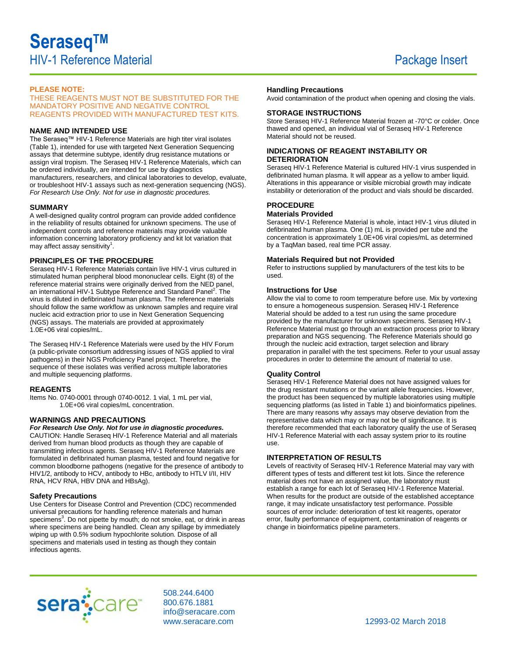# **PLEASE NOTE:**

THESE REAGENTS MUST NOT BE SUBSTITUTED FOR THE MANDATORY POSITIVE AND NEGATIVE CONTROL REAGENTS PROVIDED WITH MANUFACTURED TEST KITS.

## **NAME AND INTENDED USE**

The Seraseq™ HIV-1 Reference Materials are high titer viral isolates (Table 1), intended for use with targeted Next Generation Sequencing assays that determine subtype, identify drug resistance mutations or assign viral tropism. The Seraseq HIV-1 Reference Materials, which can be ordered individually, are intended for use by diagnostics manufacturers, researchers, and clinical laboratories to develop, evaluate, or troubleshoot HIV-1 assays such as next-generation sequencing (NGS). *For Research Use Only. Not for use in diagnostic procedures.*

#### **SUMMARY**

A well-designed quality control program can provide added confidence in the reliability of results obtained for unknown specimens. The use of independent controls and reference materials may provide valuable information concerning laboratory proficiency and kit lot variation that may affect assay sensitivity $1$ .

#### **PRINCIPLES OF THE PROCEDURE**

Seraseq HIV-1 Reference Materials contain live HIV-1 virus cultured in stimulated human peripheral blood mononuclear cells. Eight (8) of the reference material strains were originally derived from the NED panel, an international HIV-1 Subtype Reference and Standard Panel<sup>2</sup>. The virus is diluted in defibrinated human plasma. The reference materials should follow the same workflow as unknown samples and require viral nucleic acid extraction prior to use in Next Generation Sequencing (NGS) assays. The materials are provided at approximately 1.0E+06 viral copies/mL.

The Seraseq HIV-1 Reference Materials were used by the HIV Forum (a public-private consortium addressing issues of NGS applied to viral pathogens) in their NGS Proficiency Panel project. Therefore, the sequence of these isolates was verified across multiple laboratories and multiple sequencing platforms.

#### **REAGENTS**

Items No. 0740-0001 through 0740-0012. 1 vial, 1 mL per vial, 1.0E+06 viral copies/mL concentration.

## **WARNINGS AND PRECAUTIONS**

#### *For Research Use Only. Not for use in diagnostic procedures.*

CAUTION: Handle Seraseq HIV-1 Reference Material and all materials derived from human blood products as though they are capable of transmitting infectious agents. Seraseq HIV-1 Reference Materials are formulated in defibrinated human plasma, tested and found negative for common bloodborne pathogens (negative for the presence of antibody to HIV1/2, antibody to HCV, antibody to HBc, antibody to HTLV I/II, HIV RNA, HCV RNA, HBV DNA and HBsAg).

#### **Safety Precautions**

Use Centers for Disease Control and Prevention (CDC) recommended universal precautions for handling reference materials and human specimens<sup>3</sup>. Do not pipette by mouth; do not smoke, eat, or drink in areas where specimens are being handled. Clean any spillage by immediately wiping up with 0.5% sodium hypochlorite solution. Dispose of all specimens and materials used in testing as though they contain infectious agents.

## **Handling Precautions**

Avoid contamination of the product when opening and closing the vials.

## **STORAGE INSTRUCTIONS**

Store Seraseq HIV-1 Reference Material frozen at -70°C or colder. Once thawed and opened, an individual vial of Seraseq HIV-1 Reference Material should not be reused.

## **INDICATIONS OF REAGENT INSTABILITY OR DETERIORATION**

Seraseq HIV-1 Reference Material is cultured HIV-1 virus suspended in defibrinated human plasma. It will appear as a yellow to amber liquid. Alterations in this appearance or visible microbial growth may indicate instability or deterioration of the product and vials should be discarded.

# **PROCEDURE**

## **Materials Provided**

Seraseq HIV-1 Reference Material is whole, intact HIV-1 virus diluted in defibrinated human plasma. One (1) mL is provided per tube and the concentration is approximately 1.0E+06 viral copies/mL as determined by a TaqMan based, real time PCR assay.

#### **Materials Required but not Provided**

Refer to instructions supplied by manufacturers of the test kits to be used.

#### **Instructions for Use**

Allow the vial to come to room temperature before use. Mix by vortexing to ensure a homogeneous suspension. Seraseq HIV-1 Reference Material should be added to a test run using the same procedure provided by the manufacturer for unknown specimens. Seraseq HIV-1 Reference Material must go through an extraction process prior to library preparation and NGS sequencing. The Reference Materials should go through the nucleic acid extraction, target selection and library preparation in parallel with the test specimens. Refer to your usual assay procedures in order to determine the amount of material to use.

#### **Quality Control**

Seraseq HIV-1 Reference Material does not have assigned values for the drug resistant mutations or the variant allele frequencies. However, the product has been sequenced by multiple laboratories using multiple sequencing platforms (as listed in Table 1) and bioinformatics pipelines. There are many reasons why assays may observe deviation from the representative data which may or may not be of significance. It is therefore recommended that each laboratory qualify the use of Seraseq HIV-1 Reference Material with each assay system prior to its routine use.

## **INTERPRETATION OF RESULTS**

Levels of reactivity of Seraseq HIV-1 Reference Material may vary with different types of tests and different test kit lots. Since the reference material does not have an assigned value, the laboratory must establish a range for each lot of Seraseq HIV-1 Reference Material. When results for the product are outside of the established acceptance range, it may indicate unsatisfactory test performance. Possible sources of error include: deterioration of test kit reagents, operator error, faulty performance of equipment, contamination of reagents or change in bioinformatics pipeline parameters.



508.244.6400 800.676.1881 info@seracare.com